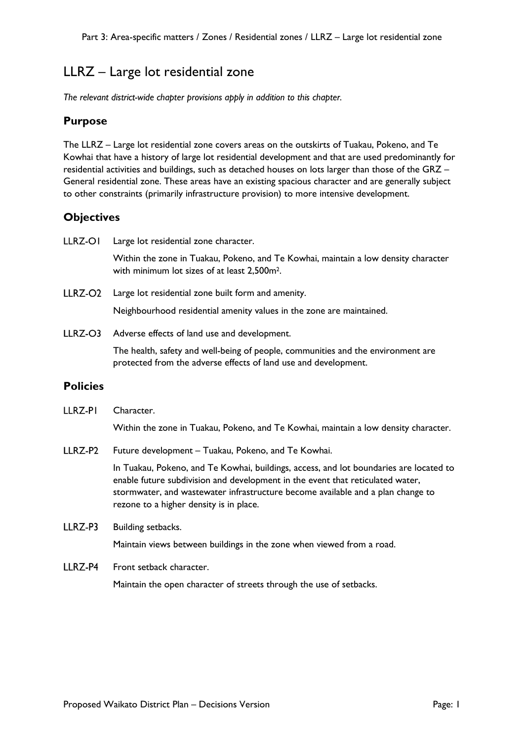# LLRZ – Large lot residential zone

*The relevant district-wide chapter provisions apply in addition to this chapter.* 

# **Purpose**

The LLRZ – Large lot residential zone covers areas on the outskirts of Tuakau, Pokeno, and Te Kowhai that have a history of large lot residential development and that are used predominantly for residential activities and buildings, such as detached houses on lots larger than those of the GRZ – General residential zone. These areas have an existing spacious character and are generally subject to other constraints (primarily infrastructure provision) to more intensive development.

# **Objectives**

LLRZ-OI Large lot residential zone character.

Within the zone in Tuakau, Pokeno, and Te Kowhai, maintain a low density character with minimum lot sizes of at least 2,500m2.

LLRZ-O2 Large lot residential zone built form and amenity.

Neighbourhood residential amenity values in the zone are maintained.

LLRZ-O3 Adverse effects of land use and development.

> The health, safety and well-being of people, communities and the environment are protected from the adverse effects of land use and development.

### **Policies**

LLRZ-PI Character.

Within the zone in Tuakau, Pokeno, and Te Kowhai, maintain a low density character.

 $IIRZ-P2$ Future development – Tuakau, Pokeno, and Te Kowhai.

> In Tuakau, Pokeno, and Te Kowhai, buildings, access, and lot boundaries are located to enable future subdivision and development in the event that reticulated water, stormwater, and wastewater infrastructure become available and a plan change to rezone to a higher density is in place.

**IIR7-P3** Building setbacks.

Maintain views between buildings in the zone when viewed from a road.

#### LLRZ-P4 Front setback character.

Maintain the open character of streets through the use of setbacks.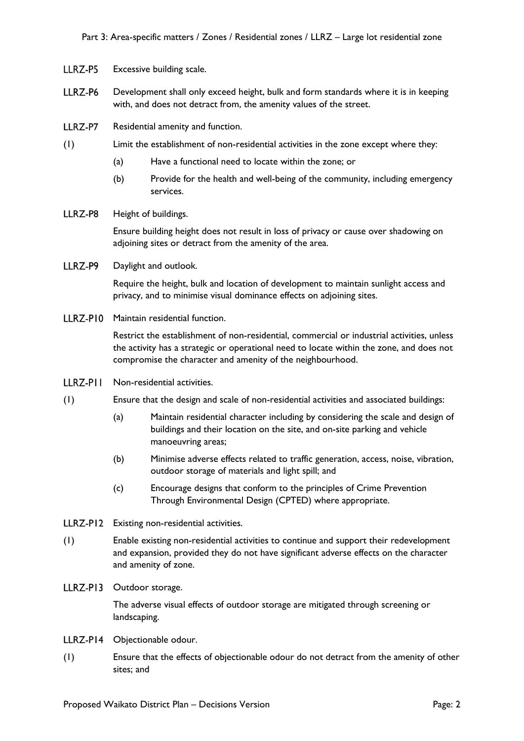- LLRZ-P5 Excessive building scale.
- LLRZ-P6 Development shall only exceed height, bulk and form standards where it is in keeping with, and does not detract from, the amenity values of the street.
- LLRZ-P7 Residential amenity and function.
- (1) Limit the establishment of non-residential activities in the zone except where they:
	- (a) Have a functional need to locate within the zone; or
	- (b) Provide for the health and well-being of the community, including emergency services.
- LLRZ-P8 Height of buildings.

Ensure building height does not result in loss of privacy or cause over shadowing on adjoining sites or detract from the amenity of the area.

LLRZ-P9 Daylight and outlook.

> Require the height, bulk and location of development to maintain sunlight access and privacy, and to minimise visual dominance effects on adjoining sites.

LLRZ-P10 Maintain residential function.

Restrict the establishment of non-residential, commercial or industrial activities, unless the activity has a strategic or operational need to locate within the zone, and does not compromise the character and amenity of the neighbourhood.

- LLRZ-PII Non-residential activities.
- (1) Ensure that the design and scale of non-residential activities and associated buildings:
	- (a) Maintain residential character including by considering the scale and design of buildings and their location on the site, and on-site parking and vehicle manoeuvring areas;
	- (b) Minimise adverse effects related to traffic generation, access, noise, vibration, outdoor storage of materials and light spill; and
	- (c) Encourage designs that conform to the principles of Crime Prevention Through Environmental Design (CPTED) where appropriate.
- LLRZ-P12 Existing non-residential activities.
- (1) Enable existing non-residential activities to continue and support their redevelopment and expansion, provided they do not have significant adverse effects on the character and amenity of zone.
- LLRZ-P13 Outdoor storage.

The adverse visual effects of outdoor storage are mitigated through screening or landscaping.

- LLRZ-P14 Objectionable odour.
- (1) Ensure that the effects of objectionable odour do not detract from the amenity of other sites; and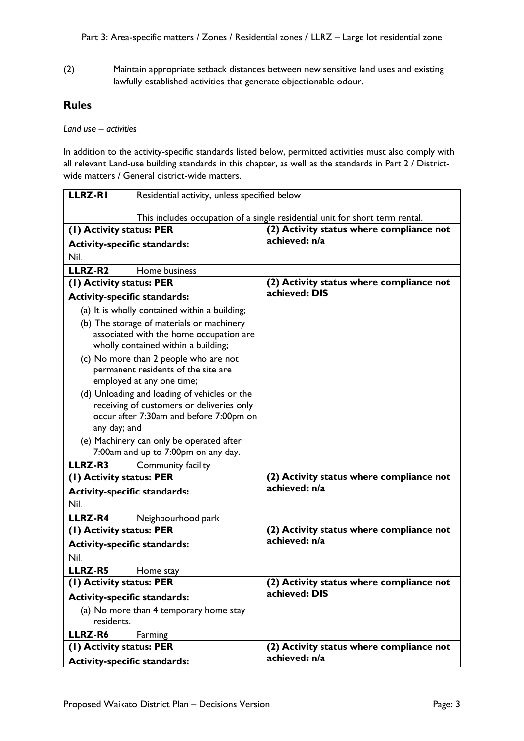(2) Maintain appropriate setback distances between new sensitive land uses and existing lawfully established activities that generate objectionable odour.

# **Rules**

*Land use – activities*

In addition to the activity-specific standards listed below, permitted activities must also comply with all relevant Land-use building standards in this chapter, as well as the standards in Part 2 / Districtwide matters / General district-wide matters.

| <b>LLRZ-RI</b>                          | Residential activity, unless specified below                                              |                                                                              |
|-----------------------------------------|-------------------------------------------------------------------------------------------|------------------------------------------------------------------------------|
|                                         |                                                                                           | This includes occupation of a single residential unit for short term rental. |
| (1) Activity status: PER                |                                                                                           | (2) Activity status where compliance not                                     |
| <b>Activity-specific standards:</b>     |                                                                                           | achieved: n/a                                                                |
| Nil.                                    |                                                                                           |                                                                              |
| LLRZ-R2                                 | Home business                                                                             |                                                                              |
| (1) Activity status: PER                |                                                                                           | (2) Activity status where compliance not                                     |
| <b>Activity-specific standards:</b>     |                                                                                           | achieved: DIS                                                                |
|                                         | (a) It is wholly contained within a building;                                             |                                                                              |
|                                         | (b) The storage of materials or machinery                                                 |                                                                              |
| associated with the home occupation are |                                                                                           |                                                                              |
|                                         | wholly contained within a building;                                                       |                                                                              |
|                                         | (c) No more than 2 people who are not                                                     |                                                                              |
|                                         | permanent residents of the site are                                                       |                                                                              |
|                                         | employed at any one time;                                                                 |                                                                              |
|                                         | (d) Unloading and loading of vehicles or the<br>receiving of customers or deliveries only |                                                                              |
|                                         | occur after 7:30am and before 7:00pm on                                                   |                                                                              |
| any day; and                            |                                                                                           |                                                                              |
|                                         | (e) Machinery can only be operated after                                                  |                                                                              |
|                                         | 7:00am and up to 7:00pm on any day.                                                       |                                                                              |
| LLRZ-R3                                 | Community facility                                                                        |                                                                              |
| (1) Activity status: PER                |                                                                                           | (2) Activity status where compliance not                                     |
| <b>Activity-specific standards:</b>     |                                                                                           | achieved: n/a                                                                |
| Nil.                                    |                                                                                           |                                                                              |
| <b>LLRZ-R4</b>                          | Neighbourhood park                                                                        |                                                                              |
| (1) Activity status: PER                |                                                                                           | (2) Activity status where compliance not                                     |
| <b>Activity-specific standards:</b>     |                                                                                           | achieved: n/a                                                                |
| Nil.                                    |                                                                                           |                                                                              |
| <b>LLRZ-R5</b>                          | Home stay                                                                                 |                                                                              |
| $\overline{(1)}$ Activity status: PER   |                                                                                           | (2) Activity status where compliance not                                     |
| <b>Activity-specific standards:</b>     |                                                                                           | achieved: DIS                                                                |
| (a) No more than 4 temporary home stay  |                                                                                           |                                                                              |
| residents.                              |                                                                                           |                                                                              |
| <b>LLRZ-R6</b>                          | Farming                                                                                   |                                                                              |
| (1) Activity status: PER                |                                                                                           | (2) Activity status where compliance not                                     |
| <b>Activity-specific standards:</b>     |                                                                                           | achieved: n/a                                                                |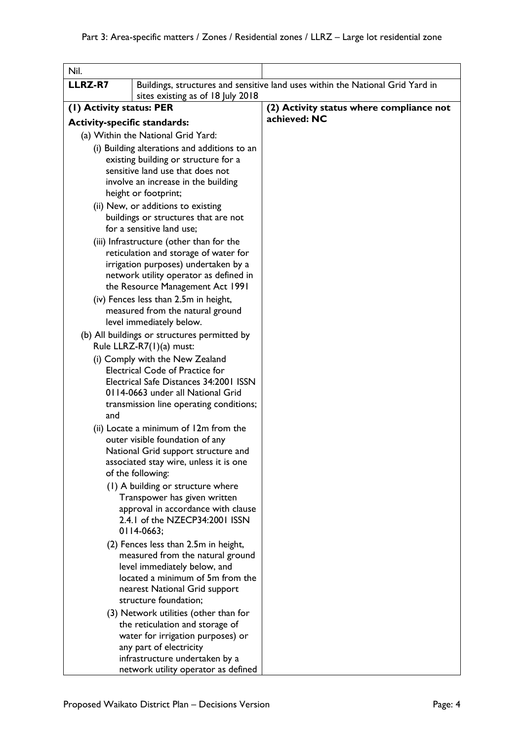| Nil.                                |                                                                                                                                                                                                                       |                                                                                |
|-------------------------------------|-----------------------------------------------------------------------------------------------------------------------------------------------------------------------------------------------------------------------|--------------------------------------------------------------------------------|
| <b>LLRZ-R7</b>                      | sites existing as of 18 July 2018                                                                                                                                                                                     | Buildings, structures and sensitive land uses within the National Grid Yard in |
| (1) Activity status: PER            |                                                                                                                                                                                                                       | (2) Activity status where compliance not                                       |
| <b>Activity-specific standards:</b> |                                                                                                                                                                                                                       | achieved: NC                                                                   |
|                                     | (a) Within the National Grid Yard:                                                                                                                                                                                    |                                                                                |
|                                     | (i) Building alterations and additions to an                                                                                                                                                                          |                                                                                |
|                                     | existing building or structure for a<br>sensitive land use that does not<br>involve an increase in the building<br>height or footprint;<br>(ii) New, or additions to existing<br>buildings or structures that are not |                                                                                |
|                                     | for a sensitive land use;                                                                                                                                                                                             |                                                                                |
|                                     | (iii) Infrastructure (other than for the<br>reticulation and storage of water for<br>irrigation purposes) undertaken by a<br>network utility operator as defined in<br>the Resource Management Act 1991               |                                                                                |
|                                     | (iv) Fences less than 2.5m in height,<br>measured from the natural ground<br>level immediately below.                                                                                                                 |                                                                                |
|                                     | (b) All buildings or structures permitted by<br>Rule LLRZ-R7(1)(a) must:                                                                                                                                              |                                                                                |
| and                                 | (i) Comply with the New Zealand<br><b>Electrical Code of Practice for</b><br>Electrical Safe Distances 34:2001 ISSN<br>0114-0663 under all National Grid<br>transmission line operating conditions;                   |                                                                                |
|                                     | (ii) Locate a minimum of 12m from the<br>outer visible foundation of any<br>National Grid support structure and<br>associated stay wire, unless it is one<br>of the following:                                        |                                                                                |
|                                     | (1) A building or structure where<br>Transpower has given written<br>approval in accordance with clause<br>2.4.1 of the NZECP34:2001 ISSN<br>0114-0663;                                                               |                                                                                |
|                                     | (2) Fences less than 2.5m in height,<br>measured from the natural ground<br>level immediately below, and<br>located a minimum of 5m from the<br>nearest National Grid support<br>structure foundation;                |                                                                                |
|                                     | (3) Network utilities (other than for<br>the reticulation and storage of<br>water for irrigation purposes) or<br>any part of electricity<br>infrastructure undertaken by a<br>network utility operator as defined     |                                                                                |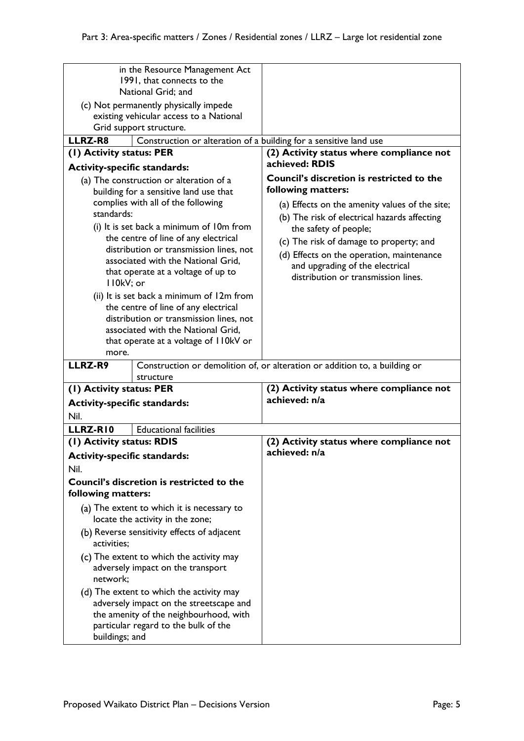|                                         | in the Resource Management Act                                                 |                                                                            |
|-----------------------------------------|--------------------------------------------------------------------------------|----------------------------------------------------------------------------|
|                                         | 1991, that connects to the                                                     |                                                                            |
| National Grid; and                      |                                                                                |                                                                            |
| (c) Not permanently physically impede   |                                                                                |                                                                            |
| existing vehicular access to a National |                                                                                |                                                                            |
|                                         | Grid support structure.                                                        |                                                                            |
| <b>LLRZ-R8</b>                          | Construction or alteration of a building for a sensitive land use              |                                                                            |
| (I) Activity status: PER                |                                                                                | (2) Activity status where compliance not                                   |
|                                         |                                                                                | achieved: RDIS                                                             |
| <b>Activity-specific standards:</b>     |                                                                                |                                                                            |
| (a) The construction or alteration of a |                                                                                | Council's discretion is restricted to the                                  |
| building for a sensitive land use that  |                                                                                | following matters:                                                         |
|                                         | complies with all of the following                                             | (a) Effects on the amenity values of the site;                             |
| standards:                              |                                                                                | (b) The risk of electrical hazards affecting                               |
|                                         | (i) It is set back a minimum of 10m from                                       | the safety of people;                                                      |
|                                         | the centre of line of any electrical                                           |                                                                            |
|                                         | distribution or transmission lines, not                                        | (c) The risk of damage to property; and                                    |
|                                         | associated with the National Grid,                                             | (d) Effects on the operation, maintenance                                  |
|                                         | that operate at a voltage of up to                                             | and upgrading of the electrical                                            |
| II0kV; or                               |                                                                                | distribution or transmission lines.                                        |
|                                         | (ii) It is set back a minimum of 12m from                                      |                                                                            |
|                                         |                                                                                |                                                                            |
|                                         | the centre of line of any electrical                                           |                                                                            |
|                                         | distribution or transmission lines, not                                        |                                                                            |
|                                         | associated with the National Grid,                                             |                                                                            |
|                                         | that operate at a voltage of II0kV or                                          |                                                                            |
|                                         |                                                                                |                                                                            |
| more.                                   |                                                                                |                                                                            |
| LLRZ-R9                                 |                                                                                | Construction or demolition of, or alteration or addition to, a building or |
|                                         | structure                                                                      |                                                                            |
| (1) Activity status: PER                |                                                                                | (2) Activity status where compliance not                                   |
| <b>Activity-specific standards:</b>     |                                                                                | achieved: n/a                                                              |
| Nil.                                    |                                                                                |                                                                            |
| LLRZ-RIO                                | <b>Educational facilities</b>                                                  |                                                                            |
|                                         |                                                                                |                                                                            |
| (I) Activity status: RDIS               |                                                                                | (2) Activity status where compliance not<br>achieved: n/a                  |
| <b>Activity-specific standards:</b>     |                                                                                |                                                                            |
| Nil.                                    |                                                                                |                                                                            |
|                                         | Council's discretion is restricted to the                                      |                                                                            |
| following matters:                      |                                                                                |                                                                            |
|                                         |                                                                                |                                                                            |
|                                         | (a) The extent to which it is necessary to<br>locate the activity in the zone; |                                                                            |
|                                         |                                                                                |                                                                            |
| activities;                             | (b) Reverse sensitivity effects of adjacent                                    |                                                                            |
|                                         | (c) The extent to which the activity may                                       |                                                                            |
|                                         | adversely impact on the transport                                              |                                                                            |
| network;                                |                                                                                |                                                                            |
|                                         | (d) The extent to which the activity may                                       |                                                                            |
|                                         | adversely impact on the streetscape and                                        |                                                                            |
|                                         |                                                                                |                                                                            |
|                                         | the amenity of the neighbourhood, with<br>particular regard to the bulk of the |                                                                            |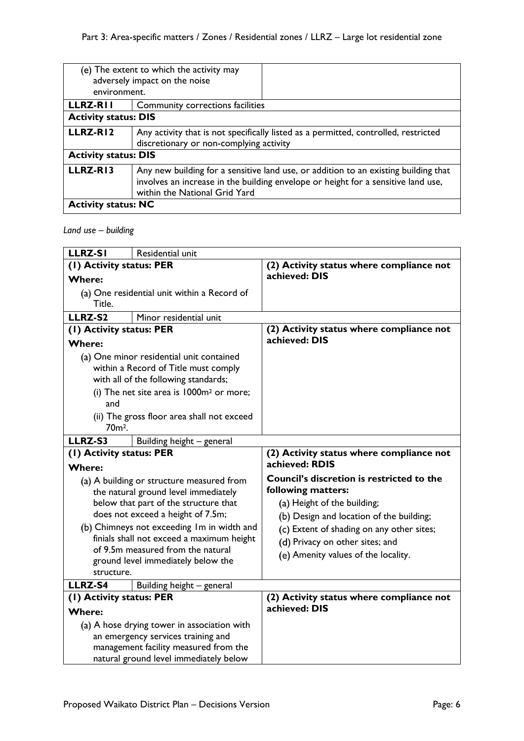| environment.                | (e) The extent to which the activity may<br>adversely impact on the noise                                                                                                                                 |  |
|-----------------------------|-----------------------------------------------------------------------------------------------------------------------------------------------------------------------------------------------------------|--|
| <b>LLRZ-RII</b>             | Community corrections facilities                                                                                                                                                                          |  |
| <b>Activity status: DIS</b> |                                                                                                                                                                                                           |  |
| LLRZ-RI2                    | Any activity that is not specifically listed as a permitted, controlled, restricted<br>discretionary or non-complying activity                                                                            |  |
| <b>Activity status: DIS</b> |                                                                                                                                                                                                           |  |
| LLRZ-RI3                    | Any new building for a sensitive land use, or addition to an existing building that<br>involves an increase in the building envelope or height for a sensitive land use,<br>within the National Grid Yard |  |
| <b>Activity status: NC</b>  |                                                                                                                                                                                                           |  |

# *Land use – building*

| <b>LLRZ-SI</b>                                       | Residential unit                           |                                           |
|------------------------------------------------------|--------------------------------------------|-------------------------------------------|
| (I) Activity status: PER                             |                                            | (2) Activity status where compliance not  |
| <b>Where:</b>                                        |                                            | achieved: DIS                             |
| (a) One residential unit within a Record of          |                                            |                                           |
| Title.                                               |                                            |                                           |
| LLRZ-S2                                              | Minor residential unit                     |                                           |
| (I) Activity status: PER                             |                                            | (2) Activity status where compliance not  |
| <b>Where:</b>                                        |                                            | achieved: DIS                             |
| (a) One minor residential unit contained             |                                            |                                           |
| within a Record of Title must comply                 |                                            |                                           |
|                                                      | with all of the following standards;       |                                           |
| (i) The net site area is 1000m <sup>2</sup> or more; |                                            |                                           |
| and                                                  |                                            |                                           |
| (ii) The gross floor area shall not exceed           |                                            |                                           |
| 70 <sub>m<sup>2</sup>.</sub>                         |                                            |                                           |
| LLRZ-S3                                              | Building height - general                  |                                           |
| (I) Activity status: PER                             |                                            | (2) Activity status where compliance not  |
| <b>Where:</b>                                        |                                            | achieved: RDIS                            |
| (a) A building or structure measured from            |                                            | Council's discretion is restricted to the |
| the natural ground level immediately                 |                                            | following matters:                        |
|                                                      | below that part of the structure that      | (a) Height of the building;               |
| does not exceed a height of 7.5m;                    |                                            | (b) Design and location of the building;  |
|                                                      | (b) Chimneys not exceeding Im in width and | (c) Extent of shading on any other sites; |
|                                                      | finials shall not exceed a maximum height  | (d) Privacy on other sites; and           |
| of 9.5m measured from the natural                    |                                            | (e) Amenity values of the locality.       |
| structure.                                           | ground level immediately below the         |                                           |
| LLRZ-S4                                              |                                            |                                           |
|                                                      | Building height - general                  | (2) Activity status where compliance not  |
| (I) Activity status: PER<br><b>Where:</b>            |                                            | achieved: DIS                             |
| (a) A hose drying tower in association with          |                                            |                                           |
| an emergency services training and                   |                                            |                                           |
| management facility measured from the                |                                            |                                           |
| natural ground level immediately below               |                                            |                                           |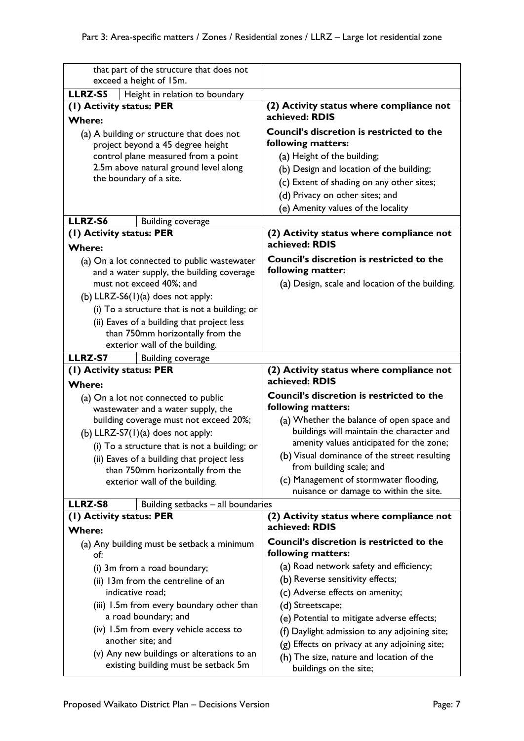| that part of the structure that does not<br>exceed a height of 15m. |                                                                                           |
|---------------------------------------------------------------------|-------------------------------------------------------------------------------------------|
| LLRZ-S5<br>Height in relation to boundary                           |                                                                                           |
| (1) Activity status: PER                                            | (2) Activity status where compliance not                                                  |
| <b>Where:</b>                                                       | achieved: RDIS                                                                            |
| (a) A building or structure that does not                           | <b>Council's discretion is restricted to the</b>                                          |
| project beyond a 45 degree height                                   | following matters:                                                                        |
| control plane measured from a point                                 | (a) Height of the building;                                                               |
| 2.5m above natural ground level along                               | (b) Design and location of the building;                                                  |
| the boundary of a site.                                             | (c) Extent of shading on any other sites;                                                 |
|                                                                     |                                                                                           |
|                                                                     | (d) Privacy on other sites; and                                                           |
|                                                                     | (e) Amenity values of the locality                                                        |
| LLRZ-S6<br><b>Building coverage</b>                                 |                                                                                           |
| (1) Activity status: PER                                            | (2) Activity status where compliance not                                                  |
| <b>Where:</b>                                                       | achieved: RDIS                                                                            |
| (a) On a lot connected to public wastewater                         | Council's discretion is restricted to the                                                 |
| and a water supply, the building coverage                           | following matter:                                                                         |
| must not exceed 40%; and                                            | (a) Design, scale and location of the building.                                           |
| (b) LLRZ-S6 $(1)(a)$ does not apply:                                |                                                                                           |
| (i) To a structure that is not a building; or                       |                                                                                           |
| (ii) Eaves of a building that project less                          |                                                                                           |
| than 750mm horizontally from the                                    |                                                                                           |
| exterior wall of the building.                                      |                                                                                           |
| LLRZ-S7<br><b>Building coverage</b>                                 |                                                                                           |
|                                                                     |                                                                                           |
| (1) Activity status: PER                                            | (2) Activity status where compliance not<br>achieved: RDIS                                |
| <b>Where:</b>                                                       |                                                                                           |
| (a) On a lot not connected to public                                | <b>Council's discretion is restricted to the</b>                                          |
| wastewater and a water supply, the                                  | following matters:                                                                        |
| building coverage must not exceed 20%;                              | (a) Whether the balance of open space and                                                 |
| (b) LLRZ-S7 $(1)(a)$ does not apply:                                | buildings will maintain the character and                                                 |
| (i) To a structure that is not a building; or                       | amenity values anticipated for the zone;                                                  |
| (ii) Eaves of a building that project less                          | (b) Visual dominance of the street resulting<br>from building scale; and                  |
| than 750mm horizontally from the                                    | (c) Management of stormwater flooding,                                                    |
| exterior wall of the building.                                      | nuisance or damage to within the site.                                                    |
| LLRZ-S8<br>Building setbacks - all boundaries                       |                                                                                           |
| (1) Activity status: PER                                            | (2) Activity status where compliance not                                                  |
| <b>Where:</b>                                                       | achieved: RDIS                                                                            |
|                                                                     | Council's discretion is restricted to the                                                 |
| (a) Any building must be setback a minimum<br>of:                   | following matters:                                                                        |
| (i) 3m from a road boundary;                                        | (a) Road network safety and efficiency;                                                   |
| (ii) 13m from the centreline of an                                  | (b) Reverse sensitivity effects;                                                          |
| indicative road:                                                    | (c) Adverse effects on amenity;                                                           |
| (iii) 1.5m from every boundary other than                           | (d) Streetscape;                                                                          |
| a road boundary; and                                                | (e) Potential to mitigate adverse effects;                                                |
| (iv) 1.5m from every vehicle access to                              |                                                                                           |
| another site; and                                                   | (f) Daylight admission to any adjoining site;                                             |
| (v) Any new buildings or alterations to an                          | (g) Effects on privacy at any adjoining site;<br>(h) The size, nature and location of the |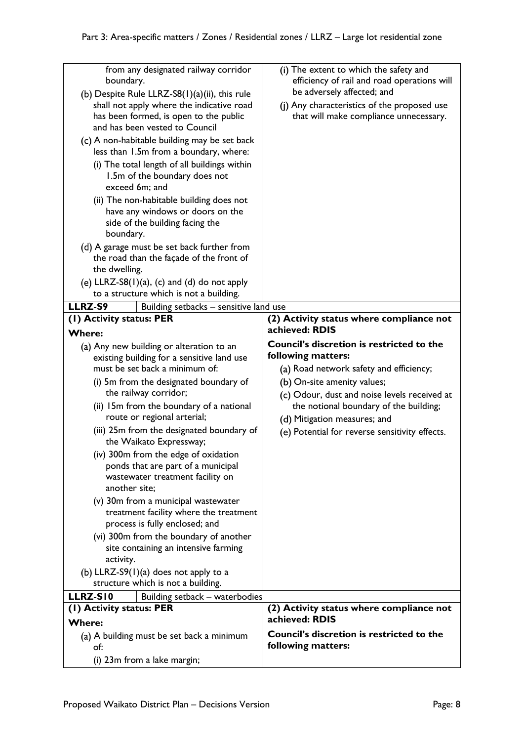| from any designated railway corridor<br>boundary.<br>(b) Despite Rule LLRZ-S8(1)(a)(ii), this rule<br>shall not apply where the indicative road<br>has been formed, is open to the public<br>and has been vested to Council<br>(c) A non-habitable building may be set back<br>less than 1.5m from a boundary, where:<br>(i) The total length of all buildings within<br>1.5m of the boundary does not<br>exceed 6m; and<br>(ii) The non-habitable building does not<br>have any windows or doors on the<br>side of the building facing the<br>boundary.<br>(d) A garage must be set back further from<br>the road than the façade of the front of<br>the dwelling.<br>(e) $LLRZ-S8(1)(a)$ , (c) and (d) do not apply<br>to a structure which is not a building. | (i) The extent to which the safety and<br>efficiency of rail and road operations will<br>be adversely affected; and<br>(j) Any characteristics of the proposed use<br>that will make compliance unnecessary.                                                             |
|------------------------------------------------------------------------------------------------------------------------------------------------------------------------------------------------------------------------------------------------------------------------------------------------------------------------------------------------------------------------------------------------------------------------------------------------------------------------------------------------------------------------------------------------------------------------------------------------------------------------------------------------------------------------------------------------------------------------------------------------------------------|--------------------------------------------------------------------------------------------------------------------------------------------------------------------------------------------------------------------------------------------------------------------------|
| LLRZ-S9<br>Building setbacks - sensitive land use                                                                                                                                                                                                                                                                                                                                                                                                                                                                                                                                                                                                                                                                                                                |                                                                                                                                                                                                                                                                          |
| (1) Activity status: PER                                                                                                                                                                                                                                                                                                                                                                                                                                                                                                                                                                                                                                                                                                                                         | (2) Activity status where compliance not                                                                                                                                                                                                                                 |
| <b>Where:</b>                                                                                                                                                                                                                                                                                                                                                                                                                                                                                                                                                                                                                                                                                                                                                    | achieved: RDIS                                                                                                                                                                                                                                                           |
|                                                                                                                                                                                                                                                                                                                                                                                                                                                                                                                                                                                                                                                                                                                                                                  | <b>Council's discretion is restricted to the</b>                                                                                                                                                                                                                         |
| (a) Any new building or alteration to an<br>existing building for a sensitive land use<br>must be set back a minimum of:<br>(i) 5m from the designated boundary of<br>the railway corridor;<br>(ii) 15m from the boundary of a national<br>route or regional arterial;<br>(iii) 25m from the designated boundary of<br>the Waikato Expressway;<br>(iv) 300m from the edge of oxidation<br>ponds that are part of a municipal<br>wastewater treatment facility on<br>another site;<br>(v) 30m from a municipal wastewater<br>treatment facility where the treatment                                                                                                                                                                                               | following matters:<br>(a) Road network safety and efficiency;<br>(b) On-site amenity values;<br>(c) Odour, dust and noise levels received at<br>the notional boundary of the building;<br>(d) Mitigation measures; and<br>(e) Potential for reverse sensitivity effects. |
| process is fully enclosed; and<br>(vi) 300m from the boundary of another<br>site containing an intensive farming<br>activity.<br>(b) LLRZ-S9 $(1)(a)$ does not apply to a<br>structure which is not a building.                                                                                                                                                                                                                                                                                                                                                                                                                                                                                                                                                  |                                                                                                                                                                                                                                                                          |
| LLRZ-SI0<br>Building setback - waterbodies                                                                                                                                                                                                                                                                                                                                                                                                                                                                                                                                                                                                                                                                                                                       |                                                                                                                                                                                                                                                                          |
| (1) Activity status: PER                                                                                                                                                                                                                                                                                                                                                                                                                                                                                                                                                                                                                                                                                                                                         | (2) Activity status where compliance not                                                                                                                                                                                                                                 |
| <b>Where:</b>                                                                                                                                                                                                                                                                                                                                                                                                                                                                                                                                                                                                                                                                                                                                                    | achieved: RDIS                                                                                                                                                                                                                                                           |
| (a) A building must be set back a minimum                                                                                                                                                                                                                                                                                                                                                                                                                                                                                                                                                                                                                                                                                                                        | Council's discretion is restricted to the                                                                                                                                                                                                                                |
| of:<br>(i) 23m from a lake margin;                                                                                                                                                                                                                                                                                                                                                                                                                                                                                                                                                                                                                                                                                                                               | following matters:                                                                                                                                                                                                                                                       |